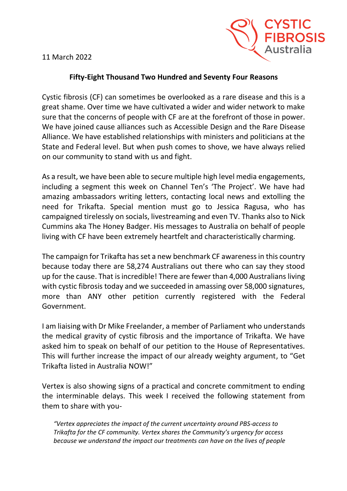11 March 2022



## **Fifty-Eight Thousand Two Hundred and Seventy Four Reasons**

Cystic fibrosis (CF) can sometimes be overlooked as a rare disease and this is a great shame. Over time we have cultivated a wider and wider network to make sure that the concerns of people with CF are at the forefront of those in power. We have joined cause alliances such as Accessible Design and the Rare Disease Alliance. We have established relationships with ministers and politicians at the State and Federal level. But when push comes to shove, we have always relied on our community to stand with us and fight.

As a result, we have been able to secure multiple high level media engagements, including a segment this week on Channel Ten's 'The Project'. We have had amazing ambassadors writing letters, contacting local news and extolling the need for Trikafta. Special mention must go to Jessica Ragusa, who has campaigned tirelessly on socials, livestreaming and even TV. Thanks also to Nick Cummins aka The Honey Badger. His messages to Australia on behalf of people living with CF have been extremely heartfelt and characteristically charming.

The campaign for Trikafta has set a new benchmark CF awareness in this country because today there are 58,274 Australians out there who can say they stood up for the cause. That is incredible! There are fewer than 4,000 Australians living with cystic fibrosis today and we succeeded in amassing over 58,000 signatures, more than ANY other petition currently registered with the Federal Government.

I am liaising with Dr Mike Freelander, a member of Parliament who understands the medical gravity of cystic fibrosis and the importance of Trikafta. We have asked him to speak on behalf of our petition to the House of Representatives. This will further increase the impact of our already weighty argument, to "Get Trikafta listed in Australia NOW!"

Vertex is also showing signs of a practical and concrete commitment to ending the interminable delays. This week I received the following statement from them to share with you-

*"Vertex appreciates the impact of the current uncertainty around PBS-access to Trikafta for the CF community. Vertex shares the Community's urgency for access because we understand the impact our treatments can have on the lives of people*